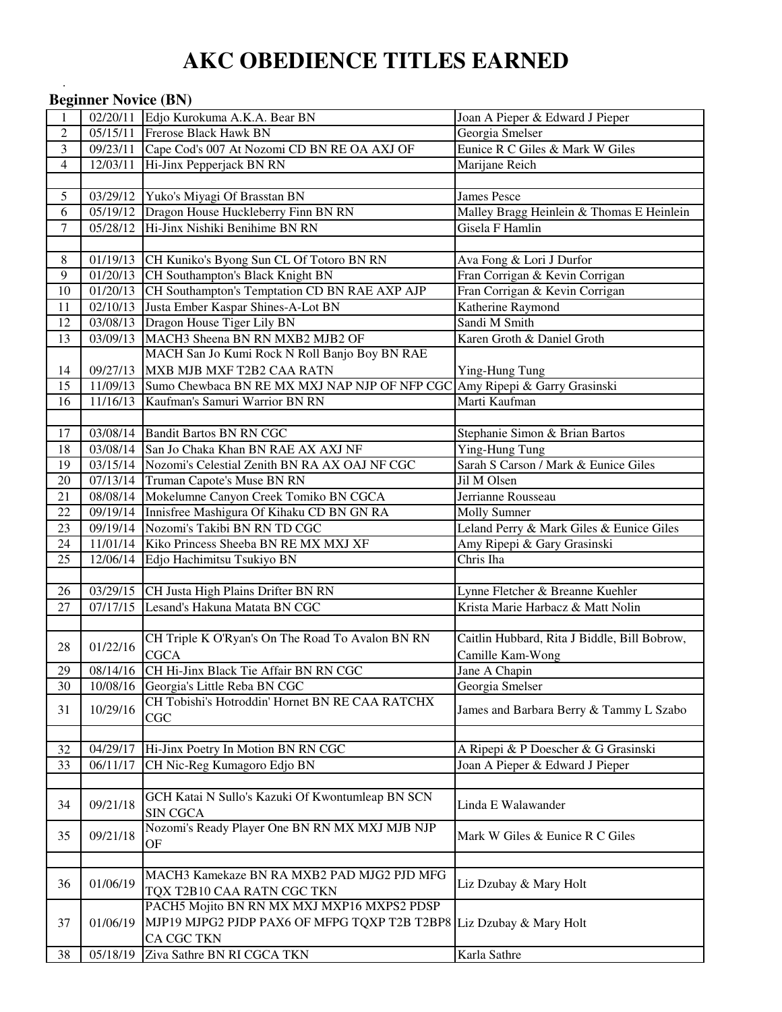# **AKC OBEDIENCE TITLES EARNED**

|                | <b>Beginner Novice (BN)</b> |                                                                                     |                                              |
|----------------|-----------------------------|-------------------------------------------------------------------------------------|----------------------------------------------|
| 1              |                             | 02/20/11 Edjo Kurokuma A.K.A. Bear BN                                               | Joan A Pieper & Edward J Pieper              |
| $\mathbf{2}$   | 05/15/11                    | <b>Frerose Black Hawk BN</b>                                                        | Georgia Smelser                              |
| 3              | 09/23/11                    | Cape Cod's 007 At Nozomi CD BN RE OA AXJ OF                                         | Eunice R C Giles & Mark W Giles              |
| $\overline{4}$ | 12/03/11                    | Hi-Jinx Pepperjack BN RN                                                            | Marijane Reich                               |
|                |                             |                                                                                     |                                              |
| 5              | 03/29/12                    | Yuko's Miyagi Of Brasstan BN                                                        | <b>James Pesce</b>                           |
| 6              | 05/19/12                    | Dragon House Huckleberry Finn BN RN                                                 | Malley Bragg Heinlein & Thomas E Heinlein    |
| $\tau$         | 05/28/12                    | Hi-Jinx Nishiki Benihime BN RN                                                      | Gisela F Hamlin                              |
|                |                             |                                                                                     |                                              |
| 8              |                             | 01/19/13 CH Kuniko's Byong Sun CL Of Totoro BN RN                                   | Ava Fong & Lori J Durfor                     |
| 9              | 01/20/13                    | CH Southampton's Black Knight BN                                                    | Fran Corrigan & Kevin Corrigan               |
| 10             | $\overline{01/20/13}$       | CH Southampton's Temptation CD BN RAE AXP AJP                                       | Fran Corrigan & Kevin Corrigan               |
| 11             | 02/10/13                    | Justa Ember Kaspar Shines-A-Lot BN                                                  | Katherine Raymond                            |
| 12             | 03/08/13                    | Dragon House Tiger Lily BN                                                          | Sandi M Smith                                |
| 13             | 03/09/13                    | MACH3 Sheena BN RN MXB2 MJB2 OF                                                     | Karen Groth & Daniel Groth                   |
|                |                             | MACH San Jo Kumi Rock N Roll Banjo Boy BN RAE                                       |                                              |
| 14             | 09/27/13                    | MXB MJB MXF T2B2 CAA RATN                                                           | Ying-Hung Tung                               |
| 15             |                             | 11/09/13 Sumo Chewbaca BN RE MX MXJ NAP NJP OF NFP CGC Amy Ripepi & Garry Grasinski |                                              |
| 16             | 11/16/13                    | Kaufman's Samuri Warrior BN RN                                                      | Marti Kaufman                                |
|                |                             |                                                                                     |                                              |
| 17             |                             | 03/08/14 Bandit Bartos BN RN CGC                                                    | Stephanie Simon & Brian Bartos               |
| 18             |                             | 03/08/14 San Jo Chaka Khan BN RAE AX AXJ NF                                         | Ying-Hung Tung                               |
| 19             |                             | 03/15/14 Nozomi's Celestial Zenith BN RA AX OAJ NF CGC                              | Sarah S Carson / Mark & Eunice Giles         |
| $20\,$         |                             | 07/13/14 Truman Capote's Muse BN RN                                                 | Jil M Olsen                                  |
| 21             |                             | 08/08/14 Mokelumne Canyon Creek Tomiko BN CGCA                                      | Jerrianne Rousseau                           |
| 22             | 09/19/14                    | Innisfree Mashigura Of Kihaku CD BN GN RA                                           | <b>Molly Sumner</b>                          |
| 23             | 09/19/14                    | Nozomi's Takibi BN RN TD CGC                                                        | Leland Perry & Mark Giles & Eunice Giles     |
| 24             | 11/01/14                    | Kiko Princess Sheeba BN RE MX MXJ XF                                                | Amy Ripepi & Gary Grasinski                  |
| 25             | 12/06/14                    | Edjo Hachimitsu Tsukiyo BN                                                          | Chris Iha                                    |
|                |                             |                                                                                     |                                              |
| 26             | 03/29/15                    | CH Justa High Plains Drifter BN RN                                                  | Lynne Fletcher & Breanne Kuehler             |
| 27             | 07/17/15                    | Lesand's Hakuna Matata BN CGC                                                       | Krista Marie Harbacz & Matt Nolin            |
|                |                             |                                                                                     |                                              |
| 28             | 01/22/16                    | CH Triple K O'Ryan's On The Road To Avalon BN RN                                    | Caitlin Hubbard, Rita J Biddle, Bill Bobrow, |
| 29             |                             | <b>CGCA</b><br>CH Hi-Jinx Black Tie Affair BN RN CGC                                | Camille Kam-Wong                             |
| 30             | 08/14/16<br>10/08/16        | Georgia's Little Reba BN CGC                                                        | Jane A Chapin<br>Georgia Smelser             |
|                |                             | CH Tobishi's Hotroddin' Hornet BN RE CAA RATCHX                                     |                                              |
| 31             | 10/29/16                    | CGC                                                                                 | James and Barbara Berry & Tammy L Szabo      |
|                |                             |                                                                                     |                                              |
| 32             | 04/29/17                    | Hi-Jinx Poetry In Motion BN RN CGC                                                  | A Ripepi & P Doescher & G Grasinski          |
| 33             | 06/11/17                    | CH Nic-Reg Kumagoro Edjo BN                                                         | Joan A Pieper & Edward J Pieper              |
|                |                             |                                                                                     |                                              |
|                |                             | GCH Katai N Sullo's Kazuki Of Kwontumleap BN SCN                                    |                                              |
| 34             | 09/21/18                    | <b>SIN CGCA</b>                                                                     | Linda E Walawander                           |
|                |                             | Nozomi's Ready Player One BN RN MX MXJ MJB NJP                                      |                                              |
| 35             | 09/21/18                    | OF                                                                                  | Mark W Giles & Eunice R C Giles              |
|                |                             |                                                                                     |                                              |
|                |                             | MACH3 Kamekaze BN RA MXB2 PAD MJG2 PJD MFG                                          |                                              |
| 36             | 01/06/19                    | TQX T2B10 CAA RATN CGC TKN                                                          | Liz Dzubay & Mary Holt                       |
|                |                             | PACH5 Mojito BN RN MX MXJ MXP16 MXPS2 PDSP                                          |                                              |
| 37             | 01/06/19                    | MJP19 MJPG2 PJDP PAX6 OF MFPG TQXP T2B T2BP8 Liz Dzubay & Mary Holt                 |                                              |
|                |                             | CA CGC TKN                                                                          |                                              |
| 38             | 05/18/19                    | Ziva Sathre BN RI CGCA TKN                                                          | Karla Sathre                                 |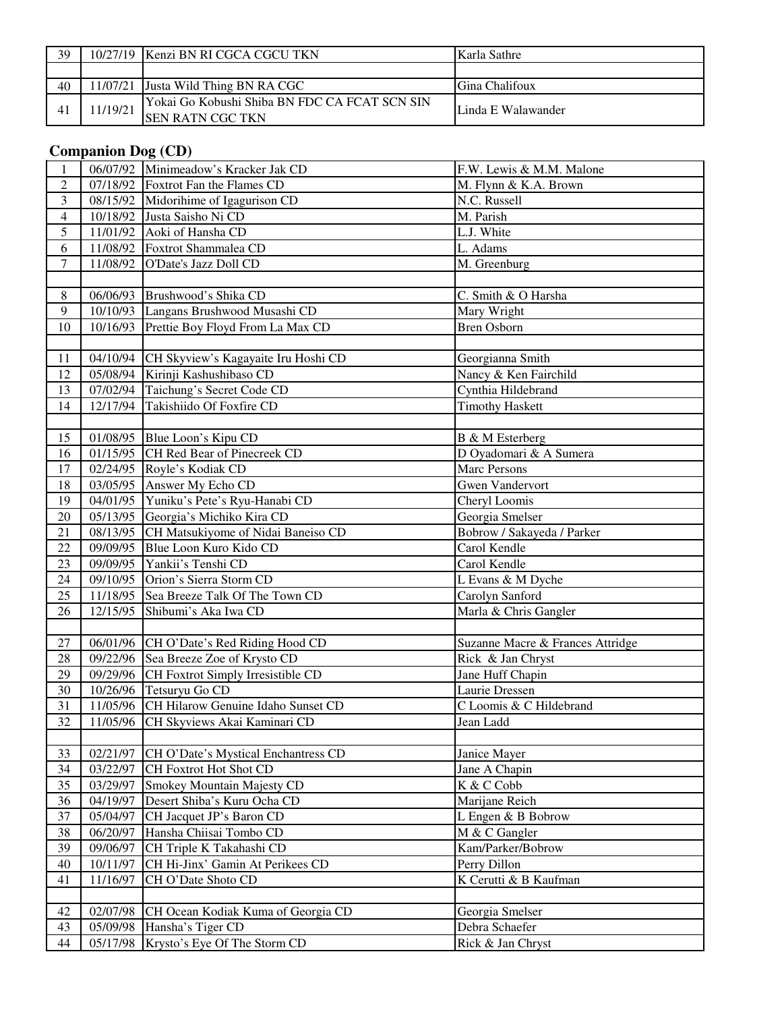| 39 |         | 10/27/19 IKenzi BN RI CGCA CGCU TKN           | Karla Sathre       |
|----|---------|-----------------------------------------------|--------------------|
|    |         |                                               |                    |
| 40 |         | 11/07/21 Justa Wild Thing BN RA CGC           | Gina Chalifoux     |
|    | 1/19/21 | Yokai Go Kobushi Shiba BN FDC CA FCAT SCN SIN |                    |
|    |         | <b>SEN RATN CGC TKN</b>                       | Linda E Walawander |

## **Companion Dog (CD)**

| 1              |                      | 06/07/92 Minimeadow's Kracker Jak CD              | F.W. Lewis & M.M. Malone            |
|----------------|----------------------|---------------------------------------------------|-------------------------------------|
| $\mathbf{2}$   |                      | 07/18/92 Foxtrot Fan the Flames CD                | M. Flynn & K.A. Brown               |
| 3              |                      | 08/15/92 Midorihime of Igagurison CD              | N.C. Russell                        |
| $\overline{4}$ |                      | 10/18/92 Justa Saisho Ni CD                       | M. Parish                           |
| 5              |                      | 11/01/92 Aoki of Hansha CD                        | L.J. White                          |
| 6              |                      | 11/08/92 Foxtrot Shammalea CD                     | L. Adams                            |
| $\overline{7}$ | 11/08/92             | O'Date's Jazz Doll CD                             | M. Greenburg                        |
|                |                      |                                                   |                                     |
| 8              |                      | 06/06/93 Brushwood's Shika CD                     | C. Smith & O Harsha                 |
| 9              |                      | 10/10/93 Langans Brushwood Musashi CD             | Mary Wright                         |
| 10             |                      | 10/16/93 Prettie Boy Floyd From La Max CD         | <b>Bren Osborn</b>                  |
|                |                      |                                                   |                                     |
| 11             |                      | 04/10/94 CH Skyview's Kagayaite Iru Hoshi CD      | Georgianna Smith                    |
| 12             |                      | 05/08/94 Kirinji Kashushibaso CD                  | Nancy & Ken Fairchild               |
| 13             |                      | 07/02/94 Taichung's Secret Code CD                | Cynthia Hildebrand                  |
| 14             | 12/17/94             | Takishiido Of Foxfire CD                          | <b>Timothy Haskett</b>              |
|                |                      |                                                   |                                     |
| 15             |                      | 01/08/95 Blue Loon's Kipu CD                      | B & M Esterberg                     |
| 16             |                      | 01/15/95 CH Red Bear of Pinecreek CD              | D Oyadomari & A Sumera              |
| 17             |                      | 02/24/95 Royle's Kodiak CD                        | <b>Marc Persons</b>                 |
| 18             |                      | 03/05/95 Answer My Echo CD                        | <b>Gwen Vandervort</b>              |
| 19             |                      | 04/01/95 Yuniku's Pete's Ryu-Hanabi CD            | Cheryl Loomis                       |
| 20             |                      | 05/13/95 Georgia's Michiko Kira CD                | Georgia Smelser                     |
| 21             |                      | 08/13/95 CH Matsukiyome of Nidai Baneiso CD       | Bobrow / Sakayeda / Parker          |
| 22             | 09/09/95             | Blue Loon Kuro Kido CD                            | Carol Kendle                        |
| 23             | 09/09/95             | Yankii's Tenshi CD                                | Carol Kendle                        |
| 24             |                      | 09/10/95 Orion's Sierra Storm CD                  | L Evans & M Dyche                   |
| 25             |                      | 11/18/95 Sea Breeze Talk Of The Town CD           | Carolyn Sanford                     |
| 26             | 12/15/95             | Shibumi's Aka Iwa CD                              | Marla & Chris Gangler               |
|                |                      |                                                   |                                     |
| 27             |                      | 06/01/96 CH O'Date's Red Riding Hood CD           | Suzanne Macre & Frances Attridge    |
| 28             |                      | 09/22/96 Sea Breeze Zoe of Krysto CD              | Rick & Jan Chryst                   |
| 29             |                      | 09/29/96 CH Foxtrot Simply Irresistible CD        | Jane Huff Chapin                    |
| 30             |                      | 10/26/96 Tetsuryu Go CD                           | Laurie Dressen                      |
| 31             |                      | 11/05/96 CH Hilarow Genuine Idaho Sunset CD       | C Loomis & C Hildebrand             |
| 32             |                      | 11/05/96 CH Skyviews Akai Kaminari CD             | Jean Ladd                           |
|                |                      |                                                   |                                     |
| 33             | 02/21/97             | CH O'Date's Mystical Enchantress CD               | Janice Mayer                        |
| 34             | 03/22/97             | CH Foxtrot Hot Shot CD                            | Jane A Chapin                       |
| 35             | 03/29/97             | Smokey Mountain Majesty CD                        | K & C Cobb                          |
| 36             | 04/19/97             | Desert Shiba's Kuru Ocha CD                       | Marijane Reich                      |
| 37             | 05/04/97             | CH Jacquet JP's Baron CD                          | L Engen & B Bobrow                  |
| 38             | 06/20/97             | Hansha Chiisai Tombo CD                           | M & C Gangler                       |
| 39             | 09/06/97             | CH Triple K Takahashi CD                          | Kam/Parker/Bobrow                   |
| 40             |                      |                                                   |                                     |
|                | 10/11/97             | CH Hi-Jinx' Gamin At Perikees CD                  | Perry Dillon                        |
| 41             | 11/16/97             | CH O'Date Shoto CD                                | K Cerutti & B Kaufman               |
|                |                      |                                                   |                                     |
| 42             | 02/07/98             | CH Ocean Kodiak Kuma of Georgia CD                | Georgia Smelser                     |
| 43<br>44       | 05/09/98<br>05/17/98 | Hansha's Tiger CD<br>Krysto's Eye Of The Storm CD | Debra Schaefer<br>Rick & Jan Chryst |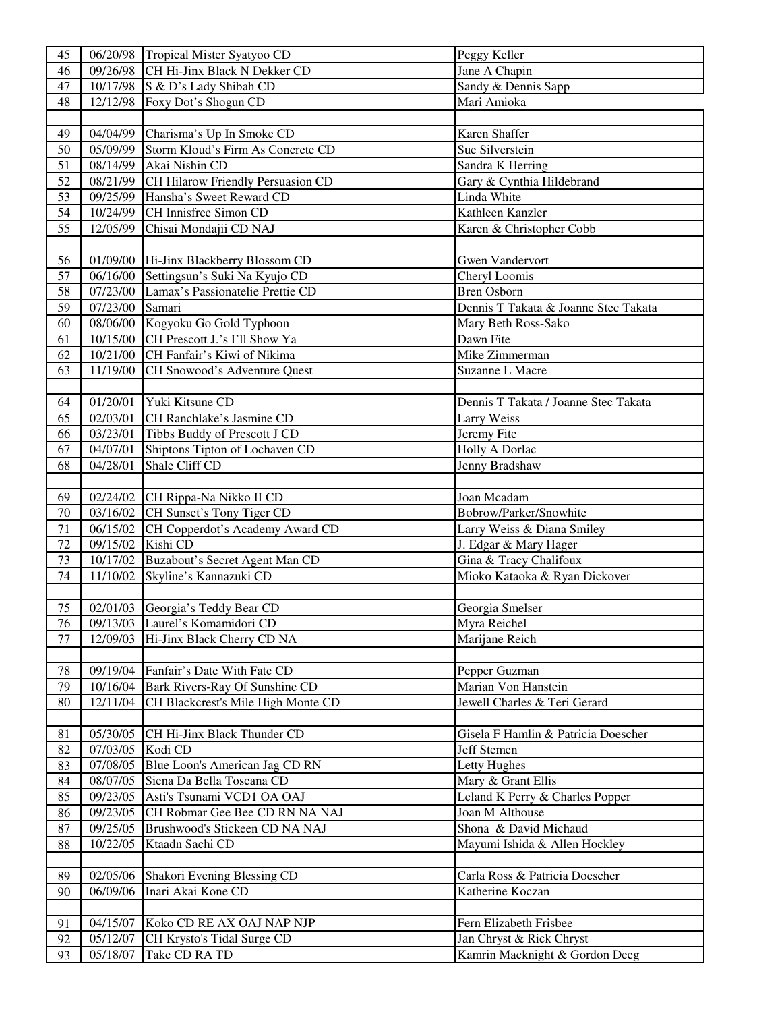| 45 |                   | 06/20/98 Tropical Mister Syatyoo CD       | Peggy Keller                         |
|----|-------------------|-------------------------------------------|--------------------------------------|
| 46 | 09/26/98          | CH Hi-Jinx Black N Dekker CD              | Jane A Chapin                        |
| 47 |                   | 10/17/98 S & D's Lady Shibah CD           | Sandy & Dennis Sapp                  |
| 48 |                   | 12/12/98 Foxy Dot's Shogun CD             | Mari Amioka                          |
|    |                   |                                           |                                      |
| 49 | 04/04/99          | Charisma's Up In Smoke CD                 | Karen Shaffer                        |
| 50 | $\sqrt{05/09/99}$ | Storm Kloud's Firm As Concrete CD         | Sue Silverstein                      |
| 51 | $\sqrt{08}/14/99$ | Akai Nishin CD                            | Sandra K Herring                     |
| 52 | 08/21/99          | CH Hilarow Friendly Persuasion CD         | Gary & Cynthia Hildebrand            |
| 53 | 09/25/99          | Hansha's Sweet Reward CD                  | Linda White                          |
| 54 | 10/24/99          | CH Innisfree Simon CD                     | Kathleen Kanzler                     |
| 55 | 12/05/99          | Chisai Mondajii CD NAJ                    | Karen & Christopher Cobb             |
|    |                   |                                           |                                      |
| 56 |                   | 01/09/00 Hi-Jinx Blackberry Blossom CD    | <b>Gwen Vandervort</b>               |
| 57 |                   | 06/16/00 Settingsun's Suki Na Kyujo CD    |                                      |
|    |                   |                                           | Cheryl Loomis                        |
| 58 |                   | 07/23/00 Lamax's Passionatelie Prettie CD | <b>Bren Osborn</b>                   |
| 59 | 07/23/00 Samari   |                                           | Dennis T Takata & Joanne Stec Takata |
| 60 |                   | 08/06/00 Kogyoku Go Gold Typhoon          | Mary Beth Ross-Sako                  |
| 61 | 10/15/00          | CH Prescott J.'s I'll Show Ya             | Dawn Fite                            |
| 62 | 10/21/00          | CH Fanfair's Kiwi of Nikima               | Mike Zimmerman                       |
| 63 | 11/19/00          | CH Snowood's Adventure Quest              | Suzanne L Macre                      |
|    |                   |                                           |                                      |
| 64 | 01/20/01          | Yuki Kitsune CD                           | Dennis T Takata / Joanne Stec Takata |
| 65 | 02/03/01          | CH Ranchlake's Jasmine CD                 | Larry Weiss                          |
| 66 | 03/23/01          | Tibbs Buddy of Prescott J CD              | Jeremy Fite                          |
| 67 | 04/07/01          | Shiptons Tipton of Lochaven CD            | Holly A Dorlac                       |
| 68 | 04/28/01          | Shale Cliff CD                            | Jenny Bradshaw                       |
|    |                   |                                           |                                      |
| 69 | 02/24/02          | CH Rippa-Na Nikko II CD                   | Joan Mcadam                          |
| 70 | 03/16/02          | CH Sunset's Tony Tiger CD                 | Bobrow/Parker/Snowhite               |
| 71 | 06/15/02          | CH Copperdot's Academy Award CD           | Larry Weiss & Diana Smiley           |
| 72 | 09/15/02          | Kishi CD                                  | J. Edgar & Mary Hager                |
| 73 | 10/17/02          | Buzabout's Secret Agent Man CD            | Gina & Tracy Chalifoux               |
| 74 | 11/10/02          | Skyline's Kannazuki CD                    | Mioko Kataoka & Ryan Dickover        |
|    |                   |                                           |                                      |
| 75 |                   | 02/01/03 Georgia's Teddy Bear CD          | Georgia Smelser                      |
| 76 |                   | 09/13/03 Laurel's Komamidori CD           | Myra Reichel                         |
| 77 | 12/09/03          | Hi-Jinx Black Cherry CD NA                | Marijane Reich                       |
|    |                   |                                           |                                      |
| 78 | 09/19/04          | Fanfair's Date With Fate CD               | Pepper Guzman                        |
| 79 | 10/16/04          | Bark Rivers-Ray Of Sunshine CD            | Marian Von Hanstein                  |
| 80 | 12/11/04          | CH Blackcrest's Mile High Monte CD        | Jewell Charles & Teri Gerard         |
|    |                   |                                           |                                      |
| 81 | 05/30/05          | CH Hi-Jinx Black Thunder CD               | Gisela F Hamlin & Patricia Doescher  |
| 82 | 07/03/05 Kodi CD  |                                           | Jeff Stemen                          |
| 83 |                   | 07/08/05 Blue Loon's American Jag CD RN   | Letty Hughes                         |
| 84 | 08/07/05          | Siena Da Bella Toscana CD                 | Mary & Grant Ellis                   |
| 85 |                   | 09/23/05 Asti's Tsunami VCD1 OA OAJ       | Leland K Perry & Charles Popper      |
| 86 | 09/23/05          | CH Robmar Gee Bee CD RN NA NAJ            | Joan M Althouse                      |
|    |                   | Brushwood's Stickeen CD NA NAJ            | Shona & David Michaud                |
| 87 | 09/25/05          |                                           |                                      |
| 88 | 10/22/05          | Ktaadn Sachi CD                           | Mayumi Ishida & Allen Hockley        |
|    |                   |                                           |                                      |
| 89 |                   | 02/05/06 Shakori Evening Blessing CD      | Carla Ross & Patricia Doescher       |
| 90 | 06/09/06          | Inari Akai Kone CD                        | Katherine Koczan                     |
|    |                   |                                           |                                      |
| 91 |                   | 04/15/07 Koko CD RE AX OAJ NAP NJP        | Fern Elizabeth Frisbee               |
| 92 | 05/12/07          | CH Krysto's Tidal Surge CD                | Jan Chryst & Rick Chryst             |
| 93 | 05/18/07          | Take CD RA TD                             | Kamrin Macknight & Gordon Deeg       |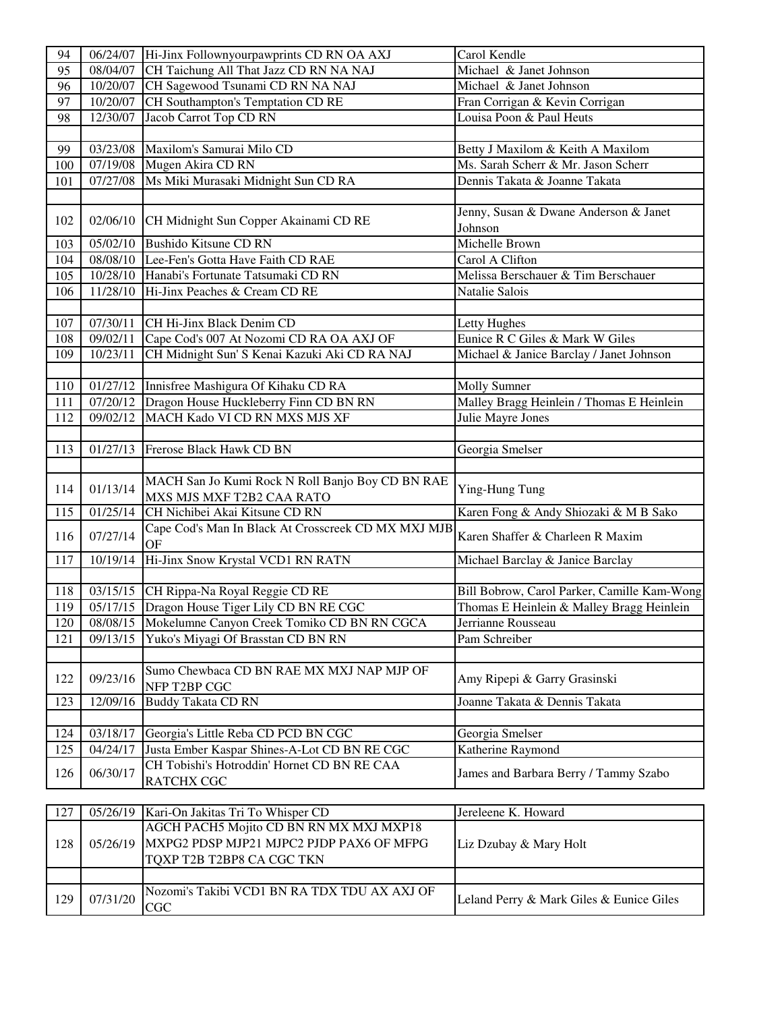| 94  | 06/24/07 | Hi-Jinx Follownyourpawprints CD RN OA AXJ                                                   | Carol Kendle                                |
|-----|----------|---------------------------------------------------------------------------------------------|---------------------------------------------|
| 95  | 08/04/07 | CH Taichung All That Jazz CD RN NA NAJ                                                      | Michael & Janet Johnson                     |
| 96  |          | 10/20/07 CH Sagewood Tsunami CD RN NA NAJ                                                   | Michael & Janet Johnson                     |
| 97  | 10/20/07 | CH Southampton's Temptation CD RE                                                           | Fran Corrigan & Kevin Corrigan              |
| 98  | 12/30/07 | Jacob Carrot Top CD RN                                                                      | Louisa Poon & Paul Heuts                    |
|     |          |                                                                                             |                                             |
| 99  |          | 03/23/08 Maxilom's Samurai Milo CD                                                          | Betty J Maxilom & Keith A Maxilom           |
| 100 |          | 07/19/08 Mugen Akira CD RN                                                                  | Ms. Sarah Scherr & Mr. Jason Scherr         |
| 101 |          | 07/27/08   Ms Miki Murasaki Midnight Sun CD RA                                              | Dennis Takata & Joanne Takata               |
|     |          |                                                                                             |                                             |
|     |          |                                                                                             | Jenny, Susan & Dwane Anderson & Janet       |
| 102 | 02/06/10 | CH Midnight Sun Copper Akainami CD RE                                                       | Johnson                                     |
| 103 |          | 05/02/10 Bushido Kitsune CD RN                                                              | Michelle Brown                              |
| 104 |          | 08/08/10 Lee-Fen's Gotta Have Faith CD RAE                                                  | Carol A Clifton                             |
| 105 |          | 10/28/10 Hanabi's Fortunate Tatsumaki CD RN                                                 | Melissa Berschauer & Tim Berschauer         |
| 106 | 11/28/10 | Hi-Jinx Peaches & Cream CD RE                                                               | Natalie Salois                              |
|     |          |                                                                                             |                                             |
| 107 | 07/30/11 | CH Hi-Jinx Black Denim CD                                                                   | Letty Hughes                                |
| 108 | 09/02/11 | Cape Cod's 007 At Nozomi CD RA OA AXJ OF                                                    | Eunice R C Giles & Mark W Giles             |
| 109 | 10/23/11 |                                                                                             |                                             |
|     |          | CH Midnight Sun' S Kenai Kazuki Aki CD RA NAJ                                               | Michael & Janice Barclay / Janet Johnson    |
| 110 | 01/27/12 | Innisfree Mashigura Of Kihaku CD RA                                                         | <b>Molly Sumner</b>                         |
| 111 |          |                                                                                             |                                             |
|     | 07/20/12 | Dragon House Huckleberry Finn CD BN RN                                                      | Malley Bragg Heinlein / Thomas E Heinlein   |
| 112 | 09/02/12 | MACH Kado VI CD RN MXS MJS XF                                                               | Julie Mayre Jones                           |
|     |          |                                                                                             |                                             |
| 113 | 01/27/13 | Frerose Black Hawk CD BN                                                                    | Georgia Smelser                             |
|     |          |                                                                                             |                                             |
| 114 | 01/13/14 | MACH San Jo Kumi Rock N Roll Banjo Boy CD BN RAE                                            | Ying-Hung Tung                              |
| 115 | 01/25/14 | MXS MJS MXF T2B2 CAA RATO<br>CH Nichibei Akai Kitsune CD RN                                 | Karen Fong & Andy Shiozaki & M B Sako       |
|     |          | Cape Cod's Man In Black At Crosscreek CD MX MXJ MJB                                         |                                             |
| 116 | 07/27/14 | OF                                                                                          | Karen Shaffer & Charleen R Maxim            |
| 117 | 10/19/14 | Hi-Jinx Snow Krystal VCD1 RN RATN                                                           | Michael Barclay & Janice Barclay            |
|     |          |                                                                                             |                                             |
| 118 |          | 03/15/15 CH Rippa-Na Royal Reggie CD RE                                                     | Bill Bobrow, Carol Parker, Camille Kam-Wong |
| 119 |          | 05/17/15 Dragon House Tiger Lily CD BN RE CGC                                               | Thomas E Heinlein & Malley Bragg Heinlein   |
| 120 |          | 08/08/15 Mokelumne Canyon Creek Tomiko CD BN RN CGCA                                        | Jerrianne Rousseau                          |
| 121 | 09/13/15 | Yuko's Miyagi Of Brasstan CD BN RN                                                          | Pam Schreiber                               |
|     |          |                                                                                             |                                             |
|     |          | Sumo Chewbaca CD BN RAE MX MXJ NAP MJP OF                                                   |                                             |
| 122 | 09/23/16 | NFP T2BP CGC                                                                                | Amy Ripepi & Garry Grasinski                |
| 123 | 12/09/16 | <b>Buddy Takata CD RN</b>                                                                   | Joanne Takata & Dennis Takata               |
|     |          |                                                                                             |                                             |
| 124 | 03/18/17 | Georgia's Little Reba CD PCD BN CGC                                                         |                                             |
| 125 |          |                                                                                             | Georgia Smelser                             |
|     | 04/24/17 | Justa Ember Kaspar Shines-A-Lot CD BN RE CGC<br>CH Tobishi's Hotroddin' Hornet CD BN RE CAA | Katherine Raymond                           |
| 126 | 06/30/17 |                                                                                             | James and Barbara Berry / Tammy Szabo       |
|     |          | RATCHX CGC                                                                                  |                                             |
|     |          |                                                                                             | Jereleene K. Howard                         |
| 127 | 05/26/19 | Kari-On Jakitas Tri To Whisper CD<br>AGCH PACH5 Mojito CD BN RN MX MXJ MXP18                |                                             |
|     |          |                                                                                             |                                             |
| 128 | 05/26/19 | MXPG2 PDSP MJP21 MJPC2 PJDP PAX6 OF MFPG                                                    | Liz Dzubay & Mary Holt                      |
|     |          | TQXP T2B T2BP8 CA CGC TKN                                                                   |                                             |
|     |          |                                                                                             |                                             |
| 129 | 07/31/20 | Nozomi's Takibi VCD1 BN RA TDX TDU AX AXJ OF                                                | Leland Perry & Mark Giles & Eunice Giles    |
|     |          | CGC                                                                                         |                                             |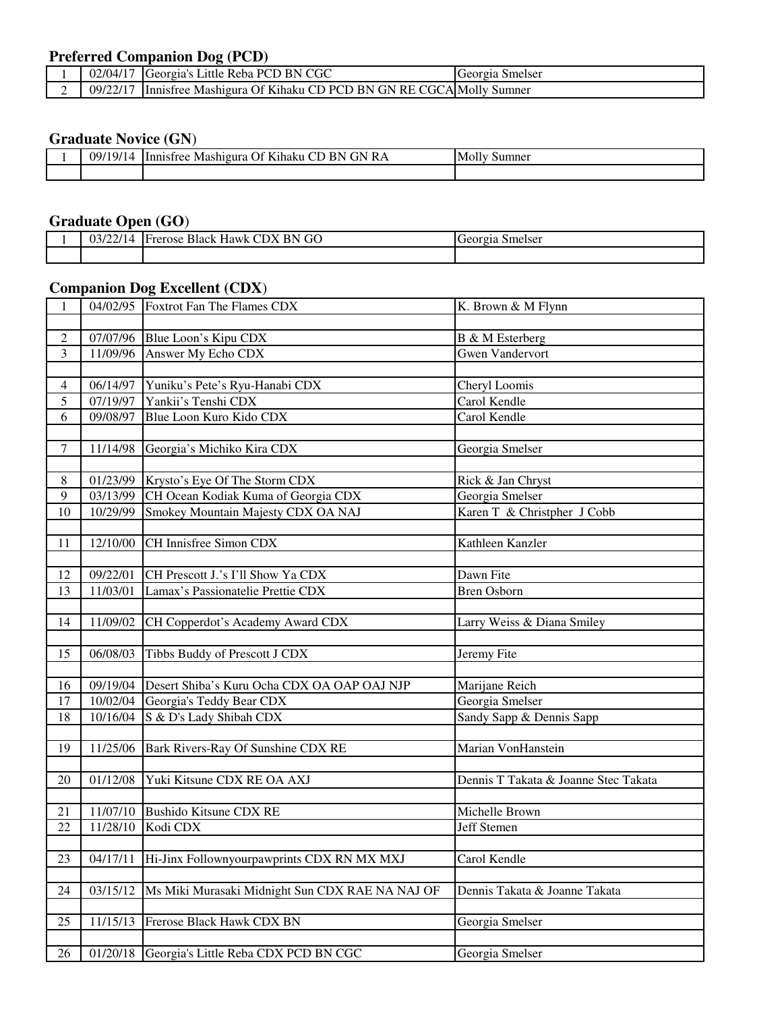## **Preferred Companion Dog (PCD)**

| 02/04/17                 | Georgia's Little Reba PCD BN CGC                                | Georgia Smelser |
|--------------------------|-----------------------------------------------------------------|-----------------|
| 09/22/17<br>$\mathbf{I}$ | Innisfree Mashigura Of Kihaku CD PCD BN GN RE CGCA Molly Sumner |                 |

#### **Graduate Novice (GN**)

| 09 <sub>l</sub><br>- 14 | $\sim$<br>$\mathbf{r}$<br>.<br>ВN<br>КA<br>÷N<br>aholm<br>یں<br>Mashigura<br>Innistree<br>- Кинаки - | IMOIIV<br>sumner |
|-------------------------|------------------------------------------------------------------------------------------------------|------------------|
|                         |                                                                                                      |                  |

# **Graduate Open (GO**)

| 021211<br>03/22/14 | X BN GO<br>$\sim$<br><b>CDX</b><br>Black Hawk<br><b>T</b> rerose | Georgia<br>Smelser |
|--------------------|------------------------------------------------------------------|--------------------|
|                    |                                                                  |                    |

## **Companion Dog Excellent (CDX**)

| $\mathbf{1}$    |          | 04/02/95 Foxtrot Fan The Flames CDX                    | K. Brown & M Flynn                   |
|-----------------|----------|--------------------------------------------------------|--------------------------------------|
|                 |          |                                                        |                                      |
| $\overline{2}$  |          | 07/07/96 Blue Loon's Kipu CDX                          | B & M Esterberg                      |
| $\overline{3}$  |          | 11/09/96 Answer My Echo CDX                            | <b>Gwen Vandervort</b>               |
|                 |          |                                                        |                                      |
| 4               | 06/14/97 | Yuniku's Pete's Ryu-Hanabi CDX                         | Cheryl Loomis                        |
| $\overline{5}$  |          | 07/19/97 Yankii's Tenshi CDX                           | Carol Kendle                         |
| 6               | 09/08/97 | Blue Loon Kuro Kido CDX                                | Carol Kendle                         |
|                 |          |                                                        |                                      |
| 7               | 11/14/98 | Georgia's Michiko Kira CDX                             | Georgia Smelser                      |
|                 |          |                                                        |                                      |
| $8\,$           |          | 01/23/99 Krysto's Eye Of The Storm CDX                 | Rick & Jan Chryst                    |
| 9               | 03/13/99 | CH Ocean Kodiak Kuma of Georgia CDX                    | Georgia Smelser                      |
| 10              | 10/29/99 | Smokey Mountain Majesty CDX OA NAJ                     | Karen T & Christpher J Cobb          |
|                 |          |                                                        |                                      |
| 11              | 12/10/00 | CH Innisfree Simon CDX                                 | Kathleen Kanzler                     |
|                 |          |                                                        |                                      |
| 12              | 09/22/01 | CH Prescott J.'s I'll Show Ya CDX                      | Dawn Fite                            |
| 13              | 11/03/01 | Lamax's Passionatelie Prettie CDX                      | <b>Bren Osborn</b>                   |
|                 |          |                                                        |                                      |
| 14              | 11/09/02 | CH Copperdot's Academy Award CDX                       | Larry Weiss & Diana Smiley           |
|                 |          |                                                        |                                      |
| 15              | 06/08/03 | Tibbs Buddy of Prescott J CDX                          | Jeremy Fite                          |
|                 |          |                                                        |                                      |
| 16              |          | 09/19/04   Desert Shiba's Kuru Ocha CDX OA OAP OAJ NJP | Marijane Reich                       |
| 17              |          | 10/02/04 Georgia's Teddy Bear CDX                      | Georgia Smelser                      |
| $18\,$          |          | 10/16/04 $\vert$ S & D's Lady Shibah CDX               | Sandy Sapp & Dennis Sapp             |
|                 |          |                                                        |                                      |
| $\overline{19}$ |          | 11/25/06 Bark Rivers-Ray Of Sunshine CDX RE            | Marian VonHanstein                   |
|                 |          |                                                        |                                      |
| 20              | 01/12/08 | Yuki Kitsune CDX RE OA AXJ                             | Dennis T Takata & Joanne Stec Takata |
|                 |          |                                                        |                                      |
| 21              |          | 11/07/10 Bushido Kitsune CDX RE                        | Michelle Brown                       |
| $\overline{22}$ | 11/28/10 | Kodi CDX                                               | Jeff Stemen                          |
|                 |          |                                                        |                                      |
| 23              | 04/17/11 | Hi-Jinx Follownyourpawprints CDX RN MX MXJ             | Carol Kendle                         |
|                 |          |                                                        |                                      |
| $2\overline{4}$ | 03/15/12 | Ms Miki Murasaki Midnight Sun CDX RAE NA NAJ OF        | Dennis Takata & Joanne Takata        |
|                 |          |                                                        |                                      |
| 25              | 11/15/13 | Frerose Black Hawk CDX BN                              | Georgia Smelser                      |
|                 |          |                                                        |                                      |
| 26              |          | 01/20/18 Georgia's Little Reba CDX PCD BN CGC          | Georgia Smelser                      |